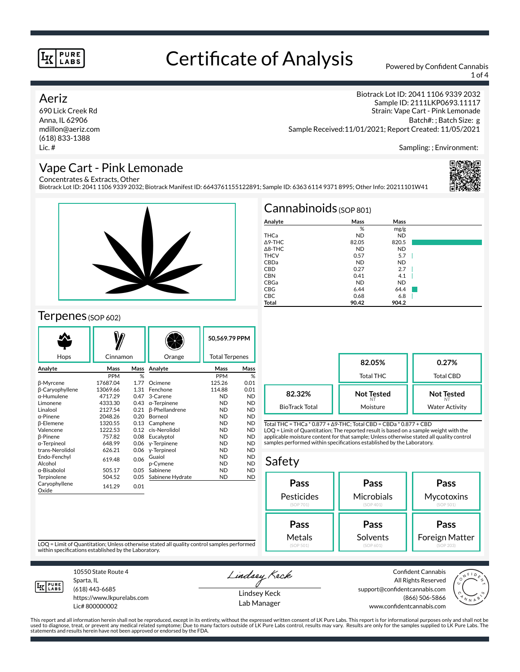# Certificate of Analysis Powered by Confident Cannabis

1 of 4

### Aeriz

690 Lick Creek Rd Anna, IL 62906 mdillon@aeriz.com (618) 833-1388 Lic. #

Biotrack Lot ID: 2041 1106 9339 2032 Sample ID: 2111LKP0693.11117 Strain: Vape Cart - Pink Lemonade Batch#: ; Batch Size: g Sample Received:11/01/2021; Report Created: 11/05/2021

Sampling: ; Environment:

## Vape Cart - Pink Lemonade

Concentrates & Extracts, Other

Biotrack Lot ID: 2041 1106 9339 2032; Biotrack Manifest ID: 6643761155122891; Sample ID: 6363 6114 9371 8995; Other Info: 20211101W41





### Terpenes (SOP 602)

| Hops                   | Cinnamon   |      | Orange                | 50.569.79 PPM<br><b>Total Terpenes</b> |           |
|------------------------|------------|------|-----------------------|----------------------------------------|-----------|
| Analyte                | Mass       | Mass | Analyte               | Mass                                   | Mass      |
|                        | <b>PPM</b> | %    |                       | <b>PPM</b>                             | %         |
| β-Myrcene              | 17687.04   | 1.77 | Ocimene               | 125.26                                 | 0.01      |
| <b>B-Caryophyllene</b> | 13069.66   | 1.31 | Fenchone              | 114.88                                 | 0.01      |
| $\alpha$ -Humulene     | 4717.29    | 0.47 | 3-Carene              | <b>ND</b>                              | <b>ND</b> |
| Limonene               | 4333.30    | 0.43 | $\alpha$ -Terpinene   | <b>ND</b>                              | <b>ND</b> |
| Linalool               | 2127.54    | 0.21 | <b>ß-Phellandrene</b> | <b>ND</b>                              | <b>ND</b> |
| $\alpha$ -Pinene       | 2048.26    | 0.20 | Borneol               | <b>ND</b>                              | <b>ND</b> |
| <b>B-Elemene</b>       | 1320.55    | 0.13 | Camphene              | <b>ND</b>                              | <b>ND</b> |
| Valencene              | 1222.53    | 0.12 | cis-Nerolidol         | <b>ND</b>                              | <b>ND</b> |
| <b>B-Pinene</b>        | 757.82     | 0.08 | Eucalyptol            | <b>ND</b>                              | <b>ND</b> |
| α-Terpineol            | 648.99     | 0.06 | y-Terpinene           | <b>ND</b>                              | <b>ND</b> |
| trans-Nerolidol        | 626.21     | 0.06 | y-Terpineol           | <b>ND</b>                              | <b>ND</b> |
| Endo-Fenchyl           | 619.48     | 0.06 | Guaiol                | <b>ND</b>                              | <b>ND</b> |
| Alcohol                |            |      | p-Cymene              | <b>ND</b>                              | <b>ND</b> |
| α-Bisabolol            | 505.17     | 0.05 | Sabinene              | <b>ND</b>                              | <b>ND</b> |
| Terpinolene            | 504.52     | 0.05 | Sabinene Hydrate      | <b>ND</b>                              | <b>ND</b> |
| Caryophyllene<br>Oxide | 141.29     | 0.01 |                       |                                        |           |

| $Cannabinoids_{(SOP 801)}$ |           |           |  |  |  |  |
|----------------------------|-----------|-----------|--|--|--|--|
| Analyte                    | Mass      | Mass      |  |  |  |  |
|                            | %         | mg/g      |  |  |  |  |
| THCa                       | <b>ND</b> | <b>ND</b> |  |  |  |  |
| $\Delta$ 9-THC             | 82.05     | 820.5     |  |  |  |  |
| $\triangle$ 8-THC          | <b>ND</b> | <b>ND</b> |  |  |  |  |
| <b>THCV</b>                | 0.57      | 5.7       |  |  |  |  |
| CBDa                       | <b>ND</b> | <b>ND</b> |  |  |  |  |
| <b>CBD</b>                 | 0.27      | 2.7       |  |  |  |  |
| <b>CBN</b>                 | 0.41      | 4.1       |  |  |  |  |
| CBGa                       | <b>ND</b> | <b>ND</b> |  |  |  |  |
| <b>CBG</b>                 | 6.44      | 64.4      |  |  |  |  |
| <b>CBC</b>                 | 0.68      | 6.8       |  |  |  |  |
| Total                      | 90.42     | 904.2     |  |  |  |  |

|                       | 82.05%<br>Total THC | 0.27%<br>Total CBD    |  |
|-----------------------|---------------------|-----------------------|--|
| 82.32%                | <b>Not Tested</b>   | <b>Not Tested</b>     |  |
| <b>BioTrack Total</b> | Moisture            | <b>Water Activity</b> |  |

Total THC = THCa \* 0.877 + ∆9-THC; Total CBD = CBDa \* 0.877 + CBD LOQ = Limit of Quantitation; The reported result is based on a sample weight with the applicable moisture content for that sample; Unless otherwise stated all quality control samples performed within specifications established by the Laboratory.

## Safety

| Pass       | Pass       | Pass                  |  |  |
|------------|------------|-----------------------|--|--|
| Pesticides | Microbials | Mycotoxins            |  |  |
| (SOP 701)  | (SOP 401)  | (SOP 501)             |  |  |
| Pass       | Pass       | Pass                  |  |  |
| Metals     | Solvents   | <b>Foreign Matter</b> |  |  |
| (SOP 501)  | (SOP 601)  | (SOP 203)             |  |  |

LOQ = Limit of Quantitation; Unless otherwise stated all quality control samples performed within specifications established by the Laboratory.



Sparta, IL (618) 443-6685

10550 State Route 4

https://www.lkpurelabs.com Lic# 800000002

Lindsey Keck Lindsey Keck

Lab Manager

Confident Cannabis All Rights Reserved support@confidentcannabis.com (866) 506-5866 www.confidentcannabis.com



This report and all information herein shall not be reproduced, except in its entirety, without the expressed written consent of LK Pure Labs. This report is for informational purposes only and shall not be<br>used to diagnos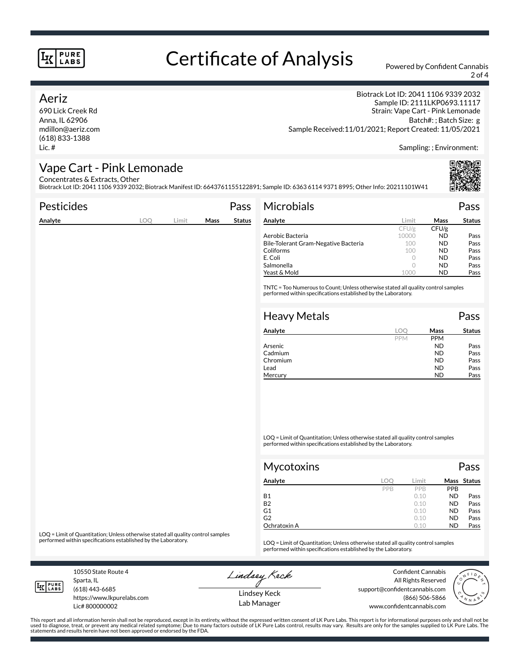# Certificate of Analysis Powered by Confident Cannabis

2 of 4

### Aeriz

690 Lick Creek Rd Anna, IL 62906 mdillon@aeriz.com (618) 833-1388 Lic. #

Biotrack Lot ID: 2041 1106 9339 2032 Sample ID: 2111LKP0693.11117 Strain: Vape Cart - Pink Lemonade Batch#: ; Batch Size: g Sample Received:11/01/2021; Report Created: 11/05/2021

Sampling: ; Environment:

## Vape Cart - Pink Lemonade

Concentrates & Extracts, Other

Biotrack Lot ID: 2041 1106 9339 2032; Biotrack Manifest ID: 6643761155122891; Sample ID: 6363 6114 9371 8995; Other Info: 20211101W41

| <b>Pesticides</b> |            |       |      | Pass          | Microbials                                                                                                                                                                                                                                                                                                                                                       |            |            | Pass          |
|-------------------|------------|-------|------|---------------|------------------------------------------------------------------------------------------------------------------------------------------------------------------------------------------------------------------------------------------------------------------------------------------------------------------------------------------------------------------|------------|------------|---------------|
| Analyte           | <b>LOO</b> | Limit | Mass | <b>Status</b> | Analyte                                                                                                                                                                                                                                                                                                                                                          | Limit      | Mass       | <b>Status</b> |
|                   |            |       |      |               |                                                                                                                                                                                                                                                                                                                                                                  | CFU/g      | CFU/g      |               |
|                   |            |       |      |               | Aerobic Bacteria                                                                                                                                                                                                                                                                                                                                                 | 10000      | <b>ND</b>  | Pass          |
|                   |            |       |      |               | Bile-Tolerant Gram-Negative Bacteria                                                                                                                                                                                                                                                                                                                             | 100        | <b>ND</b>  | Pass          |
|                   |            |       |      |               | Coliforms                                                                                                                                                                                                                                                                                                                                                        | 100        | <b>ND</b>  | Pass          |
|                   |            |       |      |               | E. Coli                                                                                                                                                                                                                                                                                                                                                          | $\circ$    | <b>ND</b>  | Pass          |
|                   |            |       |      |               | Salmonella                                                                                                                                                                                                                                                                                                                                                       | $\circ$    | <b>ND</b>  | Pass          |
|                   |            |       |      |               | Yeast & Mold                                                                                                                                                                                                                                                                                                                                                     | 1000       | <b>ND</b>  | Pass          |
|                   |            |       |      |               | <b>Heavy Metals</b>                                                                                                                                                                                                                                                                                                                                              |            |            | Pass          |
|                   |            |       |      |               | Analyte                                                                                                                                                                                                                                                                                                                                                          | <b>LOO</b> | Mass       | <b>Status</b> |
|                   |            |       |      |               |                                                                                                                                                                                                                                                                                                                                                                  | PPM        | <b>PPM</b> |               |
|                   |            |       |      |               | Arsenic                                                                                                                                                                                                                                                                                                                                                          |            | <b>ND</b>  | Pass          |
|                   |            |       |      |               | Cadmium                                                                                                                                                                                                                                                                                                                                                          |            | <b>ND</b>  | Pass          |
|                   |            |       |      |               | Chromium                                                                                                                                                                                                                                                                                                                                                         |            | <b>ND</b>  | Pass          |
|                   |            |       |      |               | Lead                                                                                                                                                                                                                                                                                                                                                             |            | <b>ND</b>  | Pass          |
|                   |            |       |      |               | Mercury                                                                                                                                                                                                                                                                                                                                                          |            | <b>ND</b>  | Pass          |
|                   |            |       |      |               | $\overline{100}$ $\overline{11}$ $\overline{10}$ $\overline{10}$ $\overline{10}$ $\overline{11}$ $\overline{11}$ $\overline{11}$ $\overline{11}$ $\overline{11}$ $\overline{11}$ $\overline{11}$ $\overline{11}$ $\overline{11}$ $\overline{11}$ $\overline{11}$ $\overline{11}$ $\overline{11}$ $\overline{11}$ $\overline{11}$ $\overline{11}$ $\overline{11}$ |            |            |               |

LOQ = Limit of Quantitation; Unless otherwise stated all quality control samples performed within specifications established by the Laboratory.

| Mycotoxins     |     |       |            | Pass        |
|----------------|-----|-------|------------|-------------|
| Analyte        | LOC | Limit |            | Mass Status |
|                | PPB | PPB   | <b>PPB</b> |             |
| <b>B1</b>      |     | 0.10  | <b>ND</b>  | Pass        |
| <b>B2</b>      |     | 0.10  | <b>ND</b>  | Pass        |
| G <sub>1</sub> |     | 0.10  | <b>ND</b>  | Pass        |
| G <sub>2</sub> |     | 0.10  | <b>ND</b>  | Pass        |
| Ochratoxin A   |     | 0.10  | <b>ND</b>  | Pass        |

LOQ = Limit of Quantitation; Unless otherwise stated all quality control samples<br>performed within specifications established by the Laboratory.

LOQ = Limit of Quantitation; Unless otherwise stated all quality control samples performed within specifications established by the Laboratory.

10550 State Route 4 Sparta, IL (618) 443-6685

Lic# 800000002

https://www.lkpurelabs.com

Lindsey Keck

Confident Cannabis All Rights Reserved support@confidentcannabis.com (866) 506-5866 www.confidentcannabis.com



This report and all information herein shall not be reproduced, except in its entirety, without the expressed written consent of LK Pure Labs. This report is for informational purposes only and shall not be<br>used to diagnos statements and results herein have not been approved or endorsed by the FDA.

Lindsey Keck Lab Manager

**LK** LABS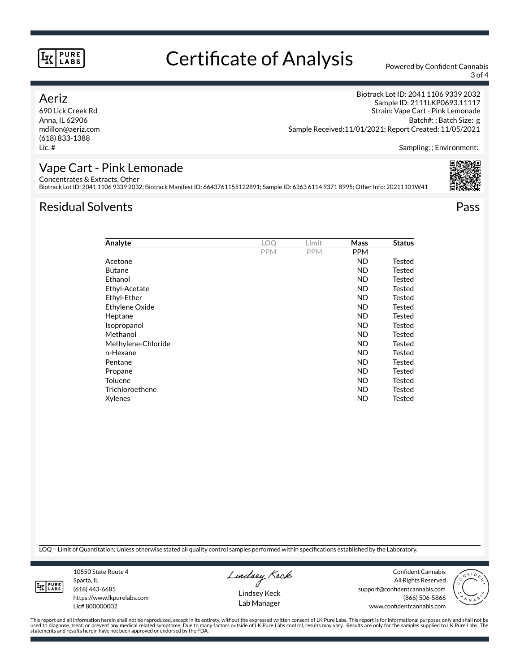# Certificate of Analysis Powered by Confident Cannabis

3 of 4

### Aeriz

690 Lick Creek Rd Anna, IL 62906 mdillon@aeriz.com (618) 833-1388 Lic. #

Biotrack Lot ID: 2041 1106 9339 2032 Sample ID: 2111LKP0693.11117 Strain: Vape Cart - Pink Lemonade Batch#: ; Batch Size: g Sample Received:11/01/2021; Report Created: 11/05/2021

Sampling: ; Environment:

### Vape Cart - Pink Lemonade

Concentrates & Extracts, Other

Biotrack Lot ID: 2041 1106 9339 2032; Biotrack Manifest ID: 6643761155122891; Sample ID: 6363 6114 9371 8995; Other Info: 20211101W41

## Residual Solvents Pass



| Analyte            | LOO        | Limit      | Mass       | <b>Status</b> |
|--------------------|------------|------------|------------|---------------|
|                    | <b>PPM</b> | <b>PPM</b> | <b>PPM</b> |               |
| Acetone            |            |            | <b>ND</b>  | Tested        |
| <b>Butane</b>      |            |            | <b>ND</b>  | Tested        |
| Ethanol            |            |            | <b>ND</b>  | Tested        |
| Ethyl-Acetate      |            |            | <b>ND</b>  | Tested        |
| Ethyl-Ether        |            |            | <b>ND</b>  | Tested        |
| Ethylene Oxide     |            |            | <b>ND</b>  | Tested        |
| Heptane            |            |            | <b>ND</b>  | Tested        |
| Isopropanol        |            |            | <b>ND</b>  | Tested        |
| Methanol           |            |            | <b>ND</b>  | Tested        |
| Methylene-Chloride |            |            | <b>ND</b>  | Tested        |
| n-Hexane           |            |            | <b>ND</b>  | Tested        |
| Pentane            |            |            | <b>ND</b>  | Tested        |
| Propane            |            |            | <b>ND</b>  | Tested        |
| Toluene            |            |            | <b>ND</b>  | Tested        |
| Trichloroethene    |            |            | <b>ND</b>  | Tested        |
| Xylenes            |            |            | <b>ND</b>  | Tested        |
|                    |            |            |            |               |

LOQ = Limit of Quantitation; Unless otherwise stated all quality control samples performed within specifications established by the Laboratory.



Sparta, IL (618) 443-6685 https://www.lkpurelabs.com Lic# 800000002

10550 State Route 4

Lindsey Keck

All Rights Reserved support@confidentcannabis.com (866) 506-5866 www.confidentcannabis.com



This report and all information herein shall not be reproduced, except in its entirety, without the expressed written consent of LK Pure Labs. This report is for informational purposes only and shall not be<br>used to diagnos

Lindsey Keck Lab Manager